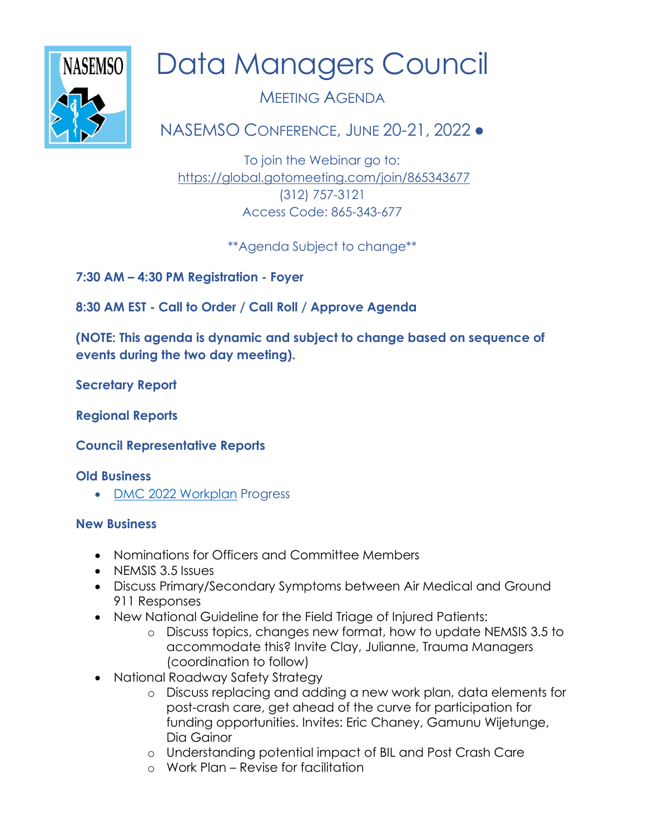

# Data Managers Council

MEETING AGENDA

NASEMSO CONFERENCE, JUNE 20-21, 2022 ●

To join the Webinar go to: <https://global.gotomeeting.com/join/865343677> (312) 757-3121 Access Code: 865-343-677

\*\*Agenda Subject to change\*\*

**7:30 AM – 4:30 PM Registration - Foyer**

**8:30 AM EST - Call to Order / Call Roll / Approve Agenda** 

**(NOTE: This agenda is dynamic and subject to change based on sequence of events during the two day meeting).**

**Secretary Report**

**Regional Reports**

**Council Representative Reports**

## **Old Business**

• [DMC 2022 Workplan](https://nasemso.org/wp-content/uploads/DMC-Workplan-2.24.2022.DRAFT-For-Review.pdf) Progress

## **New Business**

- Nominations for Officers and Committee Members
- NEMSIS 3.5 Issues
- Discuss Primary/Secondary Symptoms between Air Medical and Ground 911 Responses
- New National Guideline for the Field Triage of Injured Patients:
	- o Discuss topics, changes new format, how to update NEMSIS 3.5 to accommodate this? Invite Clay, Julianne, Trauma Managers (coordination to follow)
- National Roadway Safety Strategy
	- o Discuss replacing and adding a new work plan, data elements for post-crash care, get ahead of the curve for participation for funding opportunities. Invites: Eric Chaney, Gamunu Wijetunge, Dia Gainor
	- o Understanding potential impact of BIL and Post Crash Care
	- o Work Plan Revise for facilitation